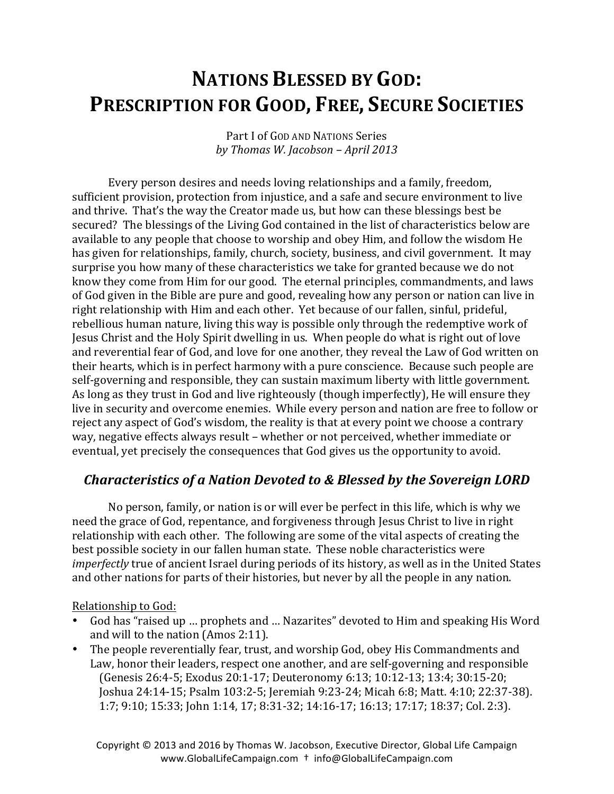# **NATIONS BLESSED BY GOD: PRESCRIPTION FOR GOOD, FREE, SECURE SOCIETIES**

Part I of GOD AND NATIONS Series *by Thomas W. Jacobson – April 2013*

Every person desires and needs loving relationships and a family, freedom, sufficient provision, protection from injustice, and a safe and secure environment to live and thrive. That's the way the Creator made us, but how can these blessings best be secured? The blessings of the Living God contained in the list of characteristics below are available to any people that choose to worship and obey Him, and follow the wisdom He has given for relationships, family, church, society, business, and civil government. It may surprise you how many of these characteristics we take for granted because we do not know they come from Him for our good. The eternal principles, commandments, and laws of God given in the Bible are pure and good, revealing how any person or nation can live in right relationship with Him and each other. Yet because of our fallen, sinful, prideful, rebellious human nature, living this way is possible only through the redemptive work of Jesus Christ and the Holy Spirit dwelling in us. When people do what is right out of love and reverential fear of God, and love for one another, they reveal the Law of God written on their hearts, which is in perfect harmony with a pure conscience. Because such people are self-governing and responsible, they can sustain maximum liberty with little government. As long as they trust in God and live righteously (though imperfectly), He will ensure they live in security and overcome enemies. While every person and nation are free to follow or reject any aspect of God's wisdom, the reality is that at every point we choose a contrary way, negative effects always result – whether or not perceived, whether immediate or eventual, yet precisely the consequences that God gives us the opportunity to avoid.

## *Characteristics of a Nation Devoted to & Blessed by the Sovereign LORD*

No person, family, or nation is or will ever be perfect in this life, which is why we need the grace of God, repentance, and forgiveness through Jesus Christ to live in right relationship with each other. The following are some of the vital aspects of creating the best possible society in our fallen human state. These noble characteristics were *imperfectly* true of ancient Israel during periods of its history, as well as in the United States and other nations for parts of their histories, but never by all the people in any nation.

Relationship to God:

- God has "raised up ... prophets and ... Nazarites" devoted to Him and speaking His Word and will to the nation  $(Amos 2:11)$ .
- The people reverentially fear, trust, and worship God, obey His Commandments and Law, honor their leaders, respect one another, and are self-governing and responsible (Genesis 26:4-5; Exodus 20:1-17; Deuteronomy 6:13; 10:12-13; 13:4; 30:15-20; Joshua 24:14-15; Psalm 103:2-5; Jeremiah 9:23-24; Micah 6:8; Matt. 4:10; 22:37-38). 1:7; 9:10; 15:33; John 1:14, 17; 8:31-32; 14:16-17; 16:13; 17:17; 18:37; Col. 2:3).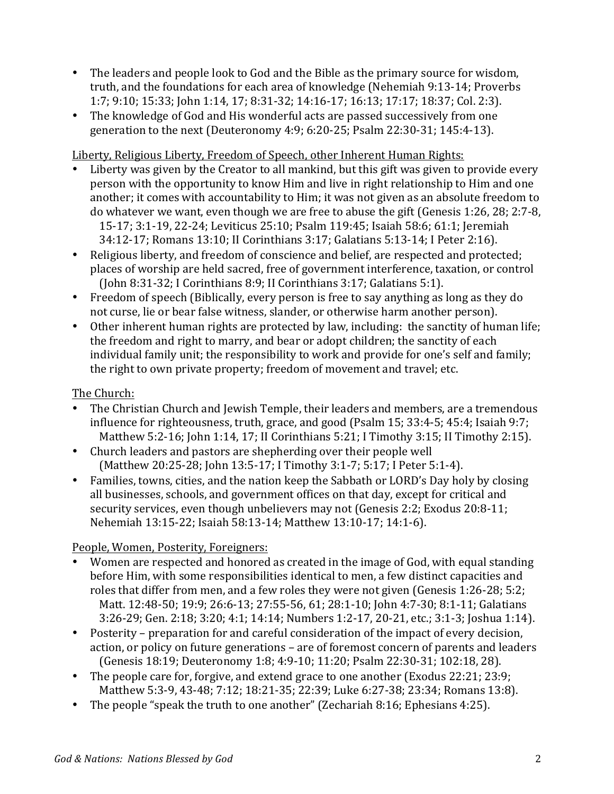- The leaders and people look to God and the Bible as the primary source for wisdom, truth, and the foundations for each area of knowledge (Nehemiah 9:13-14; Proverbs 1:7; 9:10; 15:33; John 1:14, 17; 8:31-32; 14:16-17; 16:13; 17:17; 18:37; Col. 2:3).
- The knowledge of God and His wonderful acts are passed successively from one generation to the next (Deuteronomy 4:9; 6:20-25; Psalm 22:30-31; 145:4-13).

Liberty, Religious Liberty, Freedom of Speech, other Inherent Human Rights:

- Liberty was given by the Creator to all mankind, but this gift was given to provide every person with the opportunity to know Him and live in right relationship to Him and one another; it comes with accountability to Him; it was not given as an absolute freedom to do whatever we want, even though we are free to abuse the gift (Genesis 1:26, 28; 2:7-8, 15-17; 3:1-19, 22-24; Leviticus 25:10; Psalm 119:45; Isaiah 58:6; 61:1; Jeremiah 34:12-17; Romans 13:10; II Corinthians 3:17; Galatians 5:13-14; I Peter 2:16).
- Religious liberty, and freedom of conscience and belief, are respected and protected; places of worship are held sacred, free of government interference, taxation, or control (John 8:31-32; I Corinthians 8:9; II Corinthians 3:17; Galatians 5:1).
- Freedom of speech (Biblically, every person is free to say anything as long as they do not curse, lie or bear false witness, slander, or otherwise harm another person).
- Other inherent human rights are protected by law, including: the sanctity of human life; the freedom and right to marry, and bear or adopt children; the sanctity of each individual family unit; the responsibility to work and provide for one's self and family; the right to own private property; freedom of movement and travel; etc.

The Church:

- The Christian Church and Jewish Temple, their leaders and members, are a tremendous influence for righteousness, truth, grace, and good (Psalm  $15$ ;  $33:4-5$ ;  $45:4$ ; Isaiah  $9:7$ ; Matthew  $5:2-16$ ; John  $1:14$ ,  $17$ ; II Corinthians  $5:21$ ; I Timothy  $3:15$ ; II Timothy  $2:15$ ).
- Church leaders and pastors are shepherding over their people well (Matthew 20:25-28; John 13:5-17; I Timothy 3:1-7; 5:17; I Peter 5:1-4).
- Families, towns, cities, and the nation keep the Sabbath or LORD's Day holy by closing all businesses, schools, and government offices on that day, except for critical and security services, even though unbelievers may not (Genesis 2:2; Exodus 20:8-11; Nehemiah 13:15-22; Isaiah 58:13-14; Matthew 13:10-17; 14:1-6).

## People, Women, Posterity, Foreigners:

- Women are respected and honored as created in the image of God, with equal standing before Him, with some responsibilities identical to men, a few distinct capacities and roles that differ from men, and a few roles they were not given (Genesis 1:26-28; 5:2; Matt. 12:48-50; 19:9; 26:6-13; 27:55-56, 61; 28:1-10; John 4:7-30; 8:1-11; Galatians 3:26-29; Gen. 2:18; 3:20; 4:1; 14:14; Numbers 1:2-17, 20-21, etc.; 3:1-3; Joshua 1:14).
- Posterity preparation for and careful consideration of the impact of every decision, action, or policy on future generations – are of foremost concern of parents and leaders (Genesis 18:19; Deuteronomy 1:8; 4:9-10; 11:20; Psalm 22:30-31; 102:18, 28).
- The people care for, forgive, and extend grace to one another (Exodus 22:21; 23:9; Matthew 5:3-9, 43-48; 7:12; 18:21-35; 22:39; Luke 6:27-38; 23:34; Romans 13:8).
- The people "speak the truth to one another" (Zechariah 8:16; Ephesians 4:25).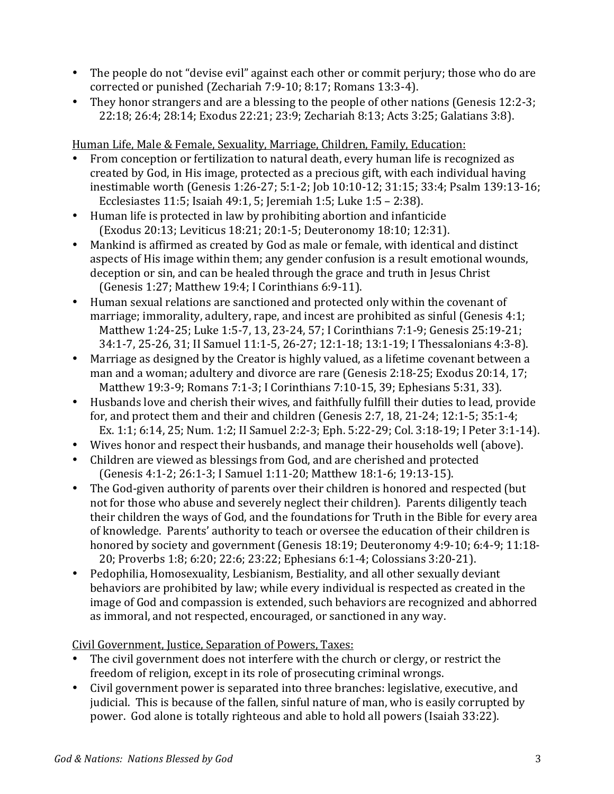- The people do not "devise evil" against each other or commit perjury; those who do are corrected or punished (Zechariah 7:9-10; 8:17; Romans 13:3-4).
- They honor strangers and are a blessing to the people of other nations (Genesis 12:2-3; 22:18; 26:4; 28:14; Exodus 22:21; 23:9; Zechariah 8:13; Acts 3:25; Galatians 3:8).

Human Life, Male & Female, Sexuality, Marriage, Children, Family, Education:

- From conception or fertilization to natural death, every human life is recognized as created by God, in His image, protected as a precious gift, with each individual having inestimable worth (Genesis 1:26-27; 5:1-2; Job 10:10-12; 31:15; 33:4; Psalm 139:13-16; Ecclesiastes  $11:5$ ; Isaiah  $49:1$ ,  $5$ ; Jeremiah  $1:5$ ; Luke  $1:5 - 2:38$ ).
- Human life is protected in law by prohibiting abortion and infanticide (Exodus 20:13; Leviticus 18:21; 20:1-5; Deuteronomy 18:10; 12:31).
- Mankind is affirmed as created by God as male or female, with identical and distinct aspects of His image within them; any gender confusion is a result emotional wounds, deception or sin, and can be healed through the grace and truth in Jesus Christ (Genesis 1:27; Matthew 19:4; I Corinthians 6:9-11).
- Human sexual relations are sanctioned and protected only within the covenant of marriage; immorality, adultery, rape, and incest are prohibited as sinful (Genesis  $4:1$ ; Matthew 1:24-25; Luke 1:5-7, 13, 23-24, 57; I Corinthians 7:1-9; Genesis 25:19-21; 34:1-7, 25-26, 31; II Samuel 11:1-5, 26-27; 12:1-18; 13:1-19; I Thessalonians 4:3-8).
- Marriage as designed by the Creator is highly valued, as a lifetime covenant between a man and a woman; adultery and divorce are rare (Genesis  $2:18-25$ ; Exodus  $20:14, 17$ ; Matthew 19:3-9; Romans 7:1-3; I Corinthians 7:10-15, 39; Ephesians 5:31, 33).
- Husbands love and cherish their wives, and faithfully fulfill their duties to lead, provide for, and protect them and their and children (Genesis  $2:7$ , 18, 21-24; 12:1-5; 35:1-4; Ex. 1:1; 6:14, 25; Num. 1:2; II Samuel 2:2-3; Eph. 5:22-29; Col. 3:18-19; I Peter 3:1-14).
- Wives honor and respect their husbands, and manage their households well (above).
- Children are viewed as blessings from God, and are cherished and protected (Genesis 4:1-2; 26:1-3; I Samuel 1:11-20; Matthew 18:1-6; 19:13-15).
- The God-given authority of parents over their children is honored and respected (but not for those who abuse and severely neglect their children). Parents diligently teach their children the ways of God, and the foundations for Truth in the Bible for every area of knowledge. Parents' authority to teach or oversee the education of their children is honored by society and government (Genesis 18:19; Deuteronomy 4:9-10; 6:4-9; 11:18-20; Proverbs 1:8; 6:20; 22:6; 23:22; Ephesians 6:1-4; Colossians 3:20-21).
- Pedophilia, Homosexuality, Lesbianism, Bestiality, and all other sexually deviant behaviors are prohibited by law; while every individual is respected as created in the image of God and compassion is extended, such behaviors are recognized and abhorred as immoral, and not respected, encouraged, or sanctioned in any way.

Civil Government, Justice, Separation of Powers, Taxes:

- The civil government does not interfere with the church or clergy, or restrict the freedom of religion, except in its role of prosecuting criminal wrongs.
- Civil government power is separated into three branches: legislative, executive, and judicial. This is because of the fallen, sinful nature of man, who is easily corrupted by power. God alone is totally righteous and able to hold all powers (Isaiah 33:22).